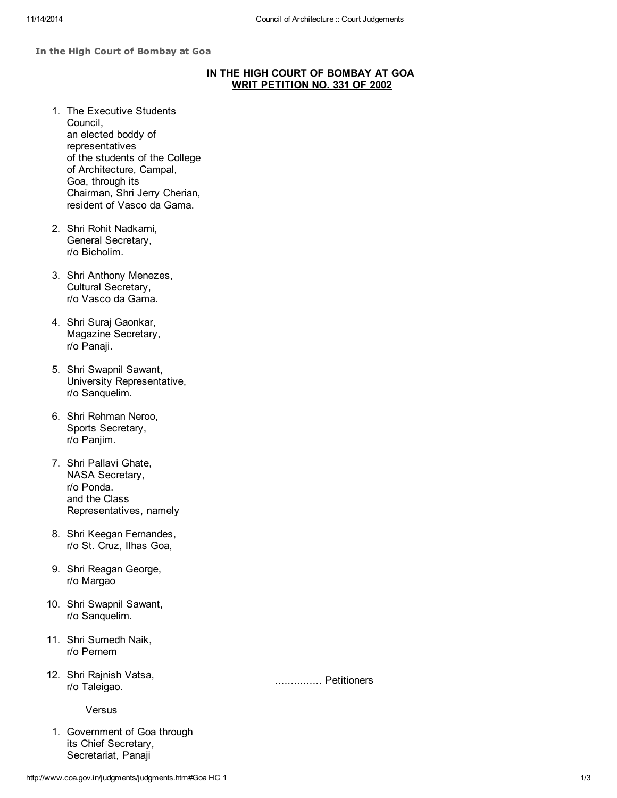## In the High Court of Bombay at Goa

## IN THE HIGH COURT OF BOMBAY AT GOA WRIT PETITION NO. 331 OF 2002

- 1. The Executive Students Council, an elected boddy of representatives of the students of the College of Architecture, Campal, Goa, through its Chairman, Shri Jerry Cherian, resident of Vasco da Gama.
- 2. Shri Rohit Nadkarni, General Secretary, r/o Bicholim.
- 3. Shri Anthony Menezes, Cultural Secretary, r/o Vasco da Gama.
- 4. Shri Suraj Gaonkar, Magazine Secretary, r/o Panaji.
- 5. Shri Swapnil Sawant, University Representative, r/o Sanquelim.
- 6. Shri Rehman Neroo, Sports Secretary, r/o Panjim.
- 7. Shri Pallavi Ghate, NASA Secretary, r/o Ponda. and the Class Representatives, namely
- 8. Shri Keegan Fernandes, r/o St. Cruz, Ilhas Goa,
- 9. Shri Reagan George, r/o Margao
- 10. Shri Swapnil Sawant, r/o Sanquelim.
- 11. Shri Sumedh Naik, r/o Pernem
- 12. Shri Rajnish Vatsa, r/o Taleigao.

Versus

1. Government of Goa through its Chief Secretary, Secretariat, Panaji

............... Petitioners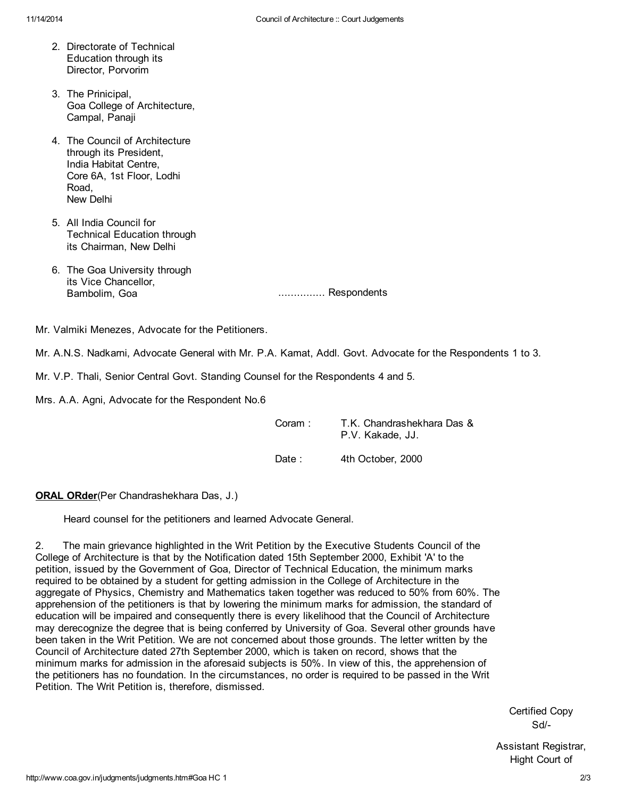- 2. Directorate of Technical Education through its Director, Porvorim
- 3. The Prinicipal, Goa College of Architecture, Campal, Panaji
- 4. The Council of Architecture through its President, India Habitat Centre, Core 6A, 1st Floor, Lodhi Road, New Delhi
- 5. All India Council for Technical Education through its Chairman, New Delhi
- 6. The Goa University through its Vice Chancellor,<br>Bambolim, Goa

................ Respondents

Mr. Valmiki Menezes, Advocate for the Petitioners.

Mr. A.N.S. Nadkarni, Advocate General with Mr. P.A. Kamat, Addl. Govt. Advocate for the Respondents 1 to 3.

Mr. V.P. Thali, Senior Central Govt. Standing Counsel for the Respondents 4 and 5.

Mrs. A.A. Agni, Advocate for the Respondent No.6

| Coram: | T.K. Chandrashekhara Das &<br>P.V. Kakade. JJ. |
|--------|------------------------------------------------|
| Date : | 4th October, 2000                              |

**ORAL ORder**(Per Chandrashekhara Das, J.)

Heard counsel for the petitioners and learned Advocate General.

2. The main grievance highlighted in the Writ Petition by the Executive Students Council of the College of Architecture is that by the Notification dated 15th September 2000, Exhibit 'A' to the petition, issued by the Government of Goa, Director of Technical Education, the minimum marks required to be obtained by a student for getting admission in the College of Architecture in the aggregate of Physics, Chemistry and Mathematics taken together was reduced to 50% from 60%. The apprehension of the petitioners is that by lowering the minimum marks for admission, the standard of education will be impaired and consequently there is every likelihood that the Council of Architecture may derecognize the degree that is being conferred by University of Goa. Several other grounds have been taken in the Writ Petition. We are not concerned about those grounds. The letter written by the Council of Architecture dated 27th September 2000, which is taken on record, shows that the minimum marks for admission in the aforesaid subjects is 50%. In view of this, the apprehension of the petitioners has no foundation. In the circumstances, no order is required to be passed in the Writ Petition. The Writ Petition is, therefore, dismissed.

> Certified Copy Sd/-

Assistant Registrar, Hight Court of